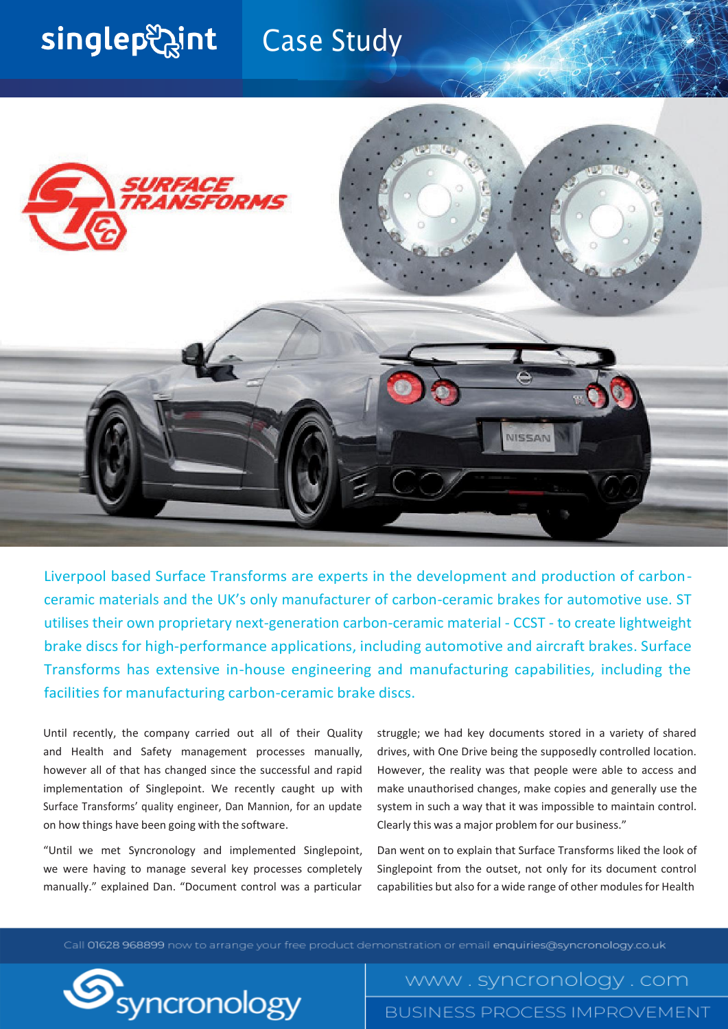## singlep aint Case Study



Liverpool based Surface Transforms are experts in the development and production of carbonceramic materials and the UK's only manufacturer of carbon-ceramic brakes for automotive use. ST utilises their own proprietary next-generation carbon-ceramic material - CCST - to create lightweight brake discs for high-performance applications, including automotive and aircraft brakes. Surface Transforms has extensive in-house engineering and manufacturing capabilities, including the facilities for manufacturing carbon-ceramic brake discs.

Until recently, the company carried out all of their Quality and Health and Safety management processes manually, however all of that has changed since the successful and rapid implementation of Singlepoint. We recently caught up with Surface Transforms' quality engineer, Dan Mannion, for an update on how things have been going with the software.

"Until we met Syncronology and implemented Singlepoint, we were having to manage several key processes completely manually." explained Dan. "Document control was a particular

struggle; we had key documents stored in a variety of shared drives, with One Drive being the supposedly controlled location. However, the reality was that people were able to access and make unauthorised changes, make copies and generally use the system in such a way that it was impossible to maintain control. Clearly this was a major problem for our business."

Dan went on to explain that Surface Transforms liked the look of Singlepoint from the outset, not only for its document control capabilities but also for a wide range of other modules for Health

Call 01628 968899 now to arrange your free product demonstration or email enquiries@syncronology.co.uk



www.syncronology.com **BUSINESS PROCESS IMPROVEMENT**